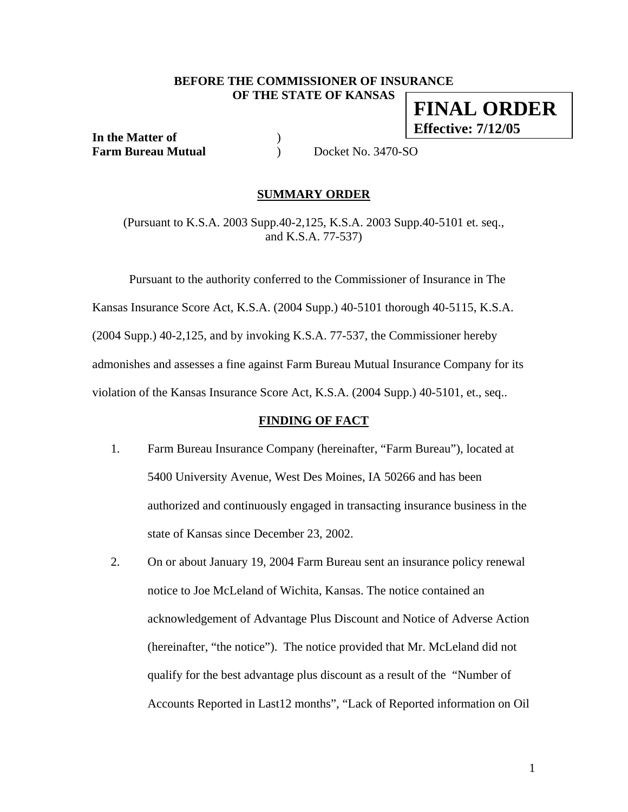#### **BEFORE THE COMMISSIONER OF INSURANCE OF THE STATE OF KANSAS FINAL ORDER**

**In the Matter of** ) **Farm Bureau Mutual** (a) Docket No. 3470-SO

**Effective: 7/12/05**

#### **SUMMARY ORDER**

(Pursuant to K.S.A. 2003 Supp.40-2,125, K.S.A. 2003 Supp.40-5101 et. seq., and K.S.A. 77-537)

 Pursuant to the authority conferred to the Commissioner of Insurance in The Kansas Insurance Score Act, K.S.A. (2004 Supp.) 40-5101 thorough 40-5115, K.S.A. (2004 Supp.) 40-2,125, and by invoking K.S.A. 77-537, the Commissioner hereby admonishes and assesses a fine against Farm Bureau Mutual Insurance Company for its violation of the Kansas Insurance Score Act, K.S.A. (2004 Supp.) 40-5101, et., seq..

#### **FINDING OF FACT**

- 1. Farm Bureau Insurance Company (hereinafter, "Farm Bureau"), located at 5400 University Avenue, West Des Moines, IA 50266 and has been authorized and continuously engaged in transacting insurance business in the state of Kansas since December 23, 2002.
- 2. On or about January 19, 2004 Farm Bureau sent an insurance policy renewal notice to Joe McLeland of Wichita, Kansas. The notice contained an acknowledgement of Advantage Plus Discount and Notice of Adverse Action (hereinafter, "the notice"). The notice provided that Mr. McLeland did not qualify for the best advantage plus discount as a result of the "Number of Accounts Reported in Last12 months", "Lack of Reported information on Oil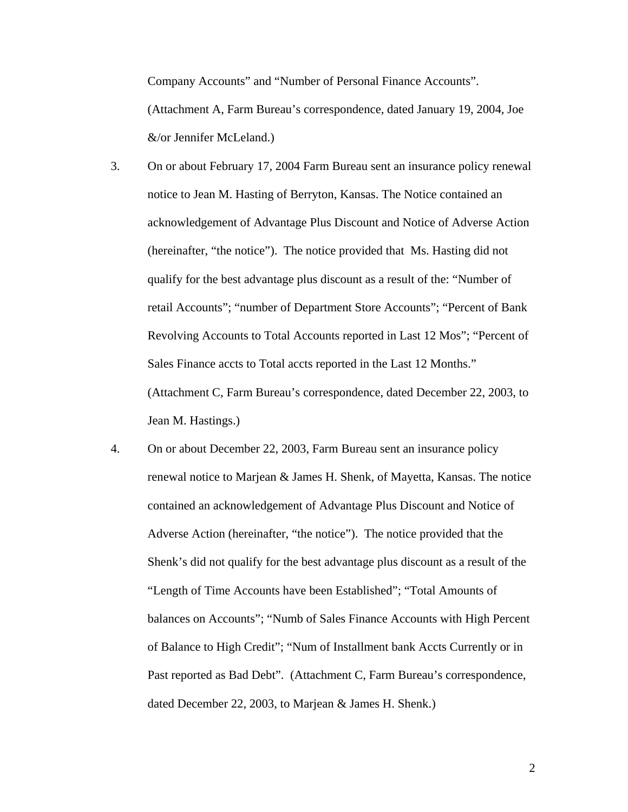Company Accounts" and "Number of Personal Finance Accounts". (Attachment A, Farm Bureau's correspondence, dated January 19, 2004, Joe &/or Jennifer McLeland.)

- 3. On or about February 17, 2004 Farm Bureau sent an insurance policy renewal notice to Jean M. Hasting of Berryton, Kansas. The Notice contained an acknowledgement of Advantage Plus Discount and Notice of Adverse Action (hereinafter, "the notice"). The notice provided that Ms. Hasting did not qualify for the best advantage plus discount as a result of the: "Number of retail Accounts"; "number of Department Store Accounts"; "Percent of Bank Revolving Accounts to Total Accounts reported in Last 12 Mos"; "Percent of Sales Finance accts to Total accts reported in the Last 12 Months." (Attachment C, Farm Bureau's correspondence, dated December 22, 2003, to Jean M. Hastings.)
- 4. On or about December 22, 2003, Farm Bureau sent an insurance policy renewal notice to Marjean & James H. Shenk, of Mayetta, Kansas. The notice contained an acknowledgement of Advantage Plus Discount and Notice of Adverse Action (hereinafter, "the notice"). The notice provided that the Shenk's did not qualify for the best advantage plus discount as a result of the "Length of Time Accounts have been Established"; "Total Amounts of balances on Accounts"; "Numb of Sales Finance Accounts with High Percent of Balance to High Credit"; "Num of Installment bank Accts Currently or in Past reported as Bad Debt". (Attachment C, Farm Bureau's correspondence, dated December 22, 2003, to Marjean & James H. Shenk.)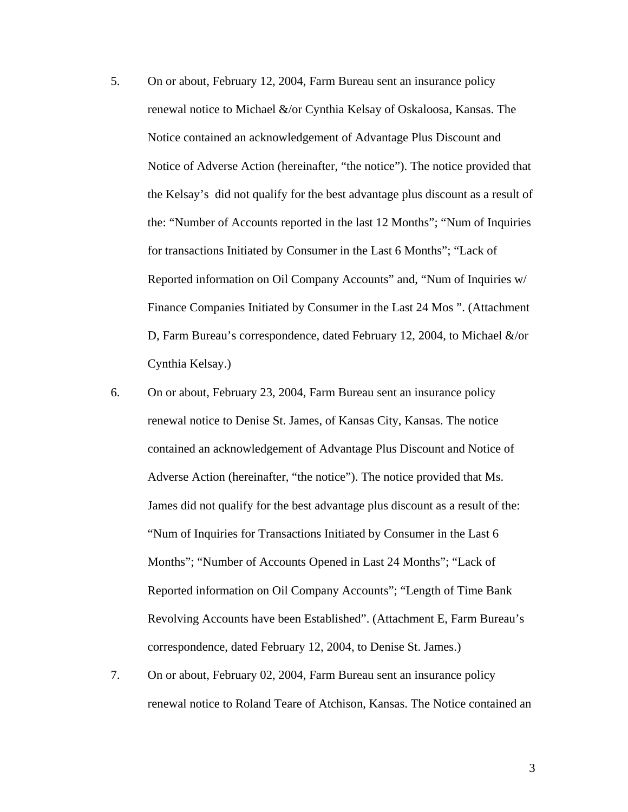- 5. On or about, February 12, 2004, Farm Bureau sent an insurance policy renewal notice to Michael &/or Cynthia Kelsay of Oskaloosa, Kansas. The Notice contained an acknowledgement of Advantage Plus Discount and Notice of Adverse Action (hereinafter, "the notice"). The notice provided that the Kelsay's did not qualify for the best advantage plus discount as a result of the: "Number of Accounts reported in the last 12 Months"; "Num of Inquiries for transactions Initiated by Consumer in the Last 6 Months"; "Lack of Reported information on Oil Company Accounts" and, "Num of Inquiries w/ Finance Companies Initiated by Consumer in the Last 24 Mos ". (Attachment D, Farm Bureau's correspondence, dated February 12, 2004, to Michael &/or Cynthia Kelsay.)
- 6. On or about, February 23, 2004, Farm Bureau sent an insurance policy renewal notice to Denise St. James, of Kansas City, Kansas. The notice contained an acknowledgement of Advantage Plus Discount and Notice of Adverse Action (hereinafter, "the notice"). The notice provided that Ms. James did not qualify for the best advantage plus discount as a result of the: "Num of Inquiries for Transactions Initiated by Consumer in the Last 6 Months"; "Number of Accounts Opened in Last 24 Months"; "Lack of Reported information on Oil Company Accounts"; "Length of Time Bank Revolving Accounts have been Established". (Attachment E, Farm Bureau's correspondence, dated February 12, 2004, to Denise St. James.)
- 7. On or about, February 02, 2004, Farm Bureau sent an insurance policy renewal notice to Roland Teare of Atchison, Kansas. The Notice contained an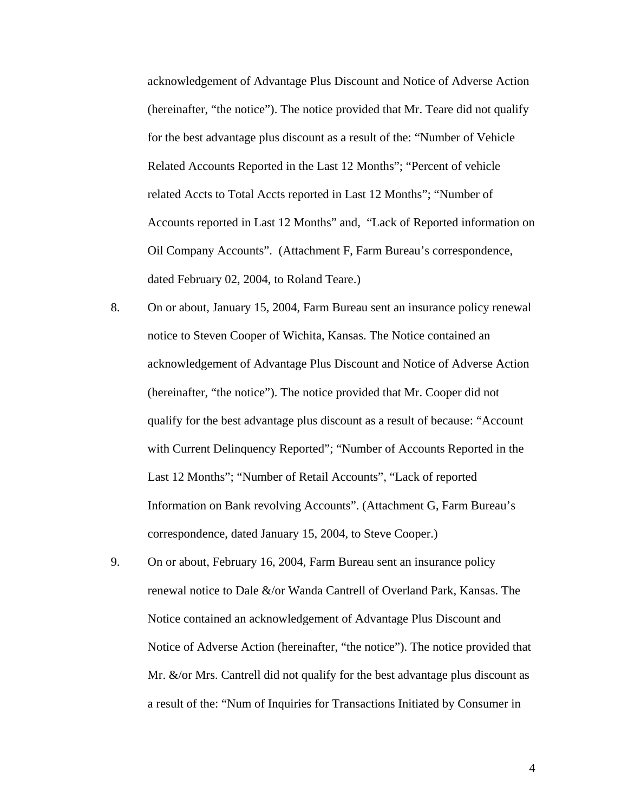acknowledgement of Advantage Plus Discount and Notice of Adverse Action (hereinafter, "the notice"). The notice provided that Mr. Teare did not qualify for the best advantage plus discount as a result of the: "Number of Vehicle Related Accounts Reported in the Last 12 Months"; "Percent of vehicle related Accts to Total Accts reported in Last 12 Months"; "Number of Accounts reported in Last 12 Months" and, "Lack of Reported information on Oil Company Accounts". (Attachment F, Farm Bureau's correspondence, dated February 02, 2004, to Roland Teare.)

- 8. On or about, January 15, 2004, Farm Bureau sent an insurance policy renewal notice to Steven Cooper of Wichita, Kansas. The Notice contained an acknowledgement of Advantage Plus Discount and Notice of Adverse Action (hereinafter, "the notice"). The notice provided that Mr. Cooper did not qualify for the best advantage plus discount as a result of because: "Account with Current Delinquency Reported"; "Number of Accounts Reported in the Last 12 Months"; "Number of Retail Accounts", "Lack of reported Information on Bank revolving Accounts". (Attachment G, Farm Bureau's correspondence, dated January 15, 2004, to Steve Cooper.)
- 9. On or about, February 16, 2004, Farm Bureau sent an insurance policy renewal notice to Dale &/or Wanda Cantrell of Overland Park, Kansas. The Notice contained an acknowledgement of Advantage Plus Discount and Notice of Adverse Action (hereinafter, "the notice"). The notice provided that Mr. &/or Mrs. Cantrell did not qualify for the best advantage plus discount as a result of the: "Num of Inquiries for Transactions Initiated by Consumer in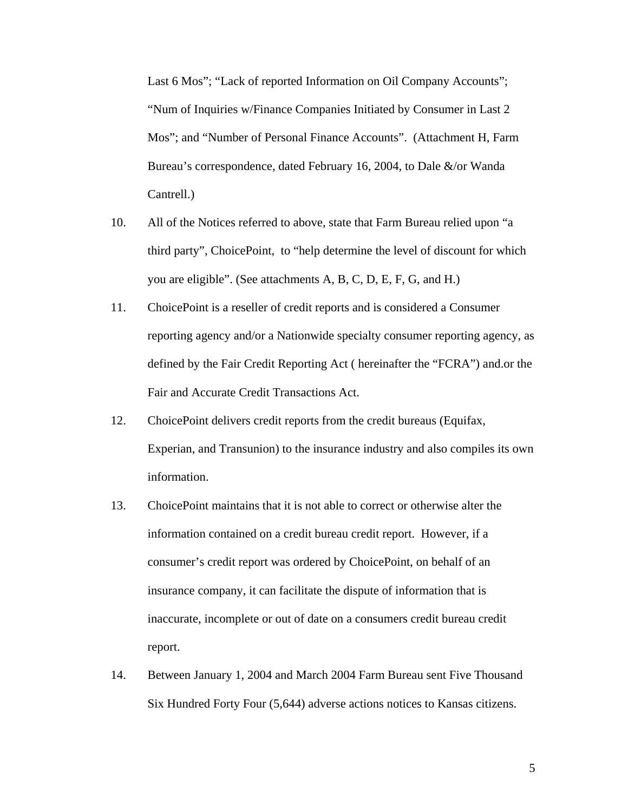Last 6 Mos"; "Lack of reported Information on Oil Company Accounts"; "Num of Inquiries w/Finance Companies Initiated by Consumer in Last 2 Mos"; and "Number of Personal Finance Accounts". (Attachment H, Farm Bureau's correspondence, dated February 16, 2004, to Dale &/or Wanda Cantrell.)

- 10. All of the Notices referred to above, state that Farm Bureau relied upon "a third party", ChoicePoint, to "help determine the level of discount for which you are eligible". (See attachments A, B, C, D, E, F, G, and H.)
- 11. ChoicePoint is a reseller of credit reports and is considered a Consumer reporting agency and/or a Nationwide specialty consumer reporting agency, as defined by the Fair Credit Reporting Act ( hereinafter the "FCRA") and.or the Fair and Accurate Credit Transactions Act.
- 12. ChoicePoint delivers credit reports from the credit bureaus (Equifax, Experian, and Transunion) to the insurance industry and also compiles its own information.
- 13. ChoicePoint maintains that it is not able to correct or otherwise alter the information contained on a credit bureau credit report. However, if a consumer's credit report was ordered by ChoicePoint, on behalf of an insurance company, it can facilitate the dispute of information that is inaccurate, incomplete or out of date on a consumers credit bureau credit report.
- 14. Between January 1, 2004 and March 2004 Farm Bureau sent Five Thousand Six Hundred Forty Four (5,644) adverse actions notices to Kansas citizens.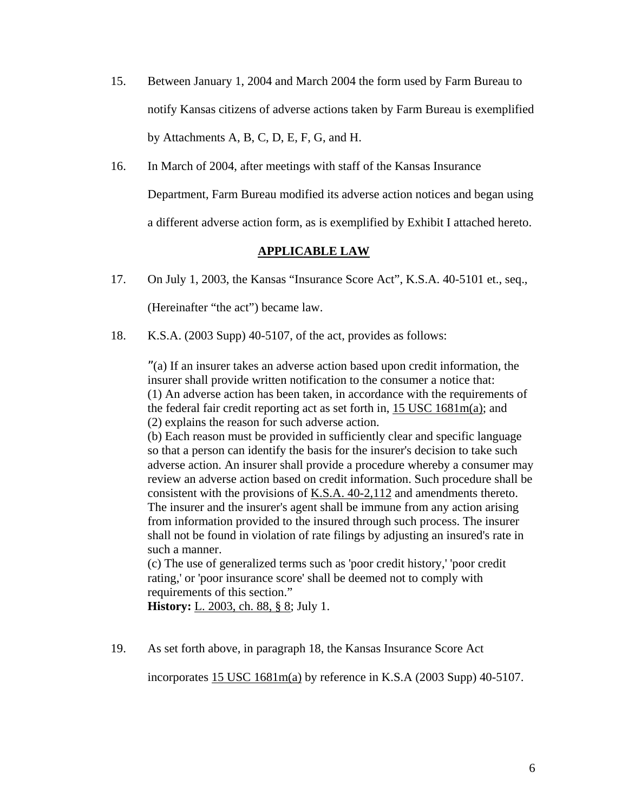- 15. Between January 1, 2004 and March 2004 the form used by Farm Bureau to notify Kansas citizens of adverse actions taken by Farm Bureau is exemplified by Attachments A, B, C, D, E, F, G, and H.
- 16. In March of 2004, after meetings with staff of the Kansas Insurance Department, Farm Bureau modified its adverse action notices and began using a different adverse action form, as is exemplified by Exhibit I attached hereto.

## **APPLICABLE LAW**

17. On July 1, 2003, the Kansas "Insurance Score Act", K.S.A. 40-5101 et., seq.,

(Hereinafter "the act") became law.

18. K.S.A. (2003 Supp) 40-5107, of the act, provides as follows:

"(a) If an insurer takes an adverse action based upon credit information, the insurer shall provide written notification to the consumer a notice that: (1) An adverse action has been taken, in accordance with the requirements of the federal fair credit reporting act as set forth in, 15 USC 1681m(a); and (2) explains the reason for such adverse action.

(b) Each reason must be provided in sufficiently clear and specific language so that a person can identify the basis for the insurer's decision to take such adverse action. An insurer shall provide a procedure whereby a consumer may review an adverse action based on credit information. Such procedure shall be consistent with the provisions of K.S.A. 40-2,112 and amendments thereto. The insurer and the insurer's agent shall be immune from any action arising from information provided to the insured through such process. The insurer shall not be found in violation of rate filings by adjusting an insured's rate in such a manner.

(c) The use of generalized terms such as 'poor credit history,' 'poor credit rating,' or 'poor insurance score' shall be deemed not to comply with requirements of this section."

**History:** L. 2003, ch. 88, § 8; July 1.

19. As set forth above, in paragraph 18, the Kansas Insurance Score Act

incorporates 15 USC 1681m(a) by reference in K.S.A (2003 Supp) 40-5107.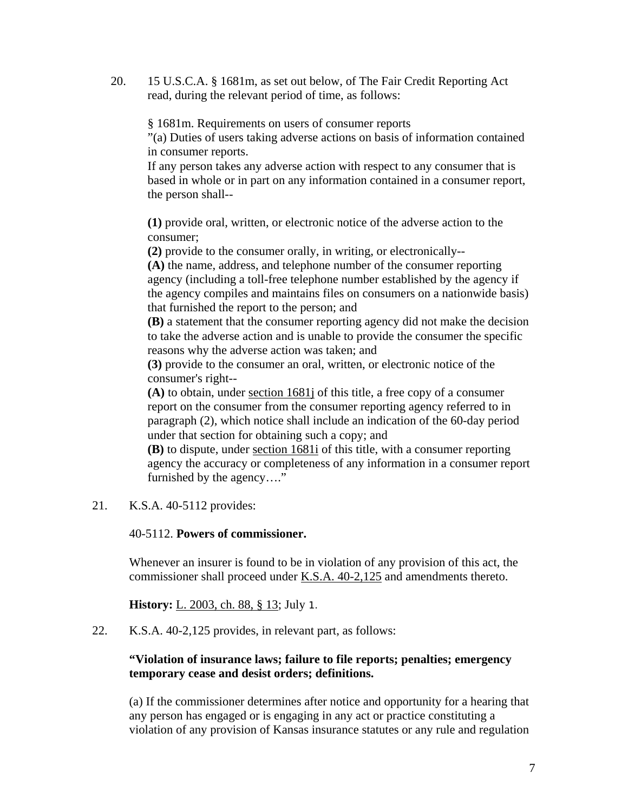20. 15 U.S.C.A. § 1681m, as set out below, of The Fair Credit Reporting Act read, during the relevant period of time, as follows:

§ 1681m. Requirements on users of consumer reports

"(a) Duties of users taking adverse actions on basis of information contained in consumer reports.

If any person takes any adverse action with respect to any consumer that is based in whole or in part on any information contained in a consumer report, the person shall--

**(1)** provide oral, written, or electronic notice of the adverse action to the consumer;

**(2)** provide to the consumer orally, in writing, or electronically--

**(A)** the name, address, and telephone number of the consumer reporting agency (including a toll-free telephone number established by the agency if the agency compiles and maintains files on consumers on a nationwide basis) that furnished the report to the person; and

**(B)** a statement that the consumer reporting agency did not make the decision to take the adverse action and is unable to provide the consumer the specific reasons why the adverse action was taken; and

**(3)** provide to the consumer an oral, written, or electronic notice of the consumer's right--

**(A)** to obtain, under section 1681j of this title, a free copy of a consumer report on the consumer from the consumer reporting agency referred to in paragraph (2), which notice shall include an indication of the 60-day period under that section for obtaining such a copy; and

**(B)** to dispute, under section 1681i of this title, with a consumer reporting agency the accuracy or completeness of any information in a consumer report furnished by the agency…."

21. K.S.A. 40-5112 provides:

### 40-5112. **Powers of commissioner.**

Whenever an insurer is found to be in violation of any provision of this act, the commissioner shall proceed under K.S.A. 40-2,125 and amendments thereto.

**History:** L. 2003, ch. 88, § 13; July 1.

22. K.S.A. 40-2,125 provides, in relevant part, as follows:

## **"Violation of insurance laws; failure to file reports; penalties; emergency temporary cease and desist orders; definitions.**

(a) If the commissioner determines after notice and opportunity for a hearing that any person has engaged or is engaging in any act or practice constituting a violation of any provision of Kansas insurance statutes or any rule and regulation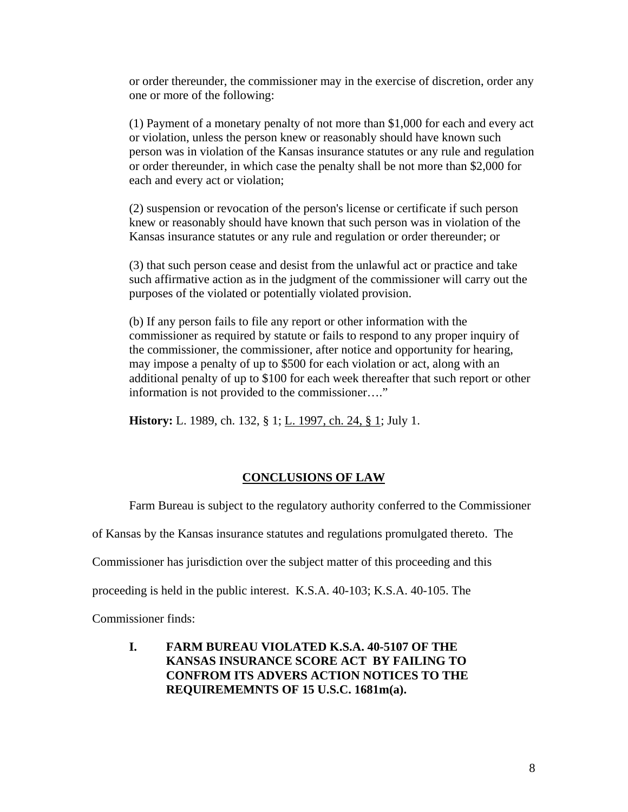or order thereunder, the commissioner may in the exercise of discretion, order any one or more of the following:

(1) Payment of a monetary penalty of not more than \$1,000 for each and every act or violation, unless the person knew or reasonably should have known such person was in violation of the Kansas insurance statutes or any rule and regulation or order thereunder, in which case the penalty shall be not more than \$2,000 for each and every act or violation;

(2) suspension or revocation of the person's license or certificate if such person knew or reasonably should have known that such person was in violation of the Kansas insurance statutes or any rule and regulation or order thereunder; or

(3) that such person cease and desist from the unlawful act or practice and take such affirmative action as in the judgment of the commissioner will carry out the purposes of the violated or potentially violated provision.

(b) If any person fails to file any report or other information with the commissioner as required by statute or fails to respond to any proper inquiry of the commissioner, the commissioner, after notice and opportunity for hearing, may impose a penalty of up to \$500 for each violation or act, along with an additional penalty of up to \$100 for each week thereafter that such report or other information is not provided to the commissioner…."

**History:** L. 1989, ch. 132, § 1; L. 1997, ch. 24, § 1; July 1.

#### **CONCLUSIONS OF LAW**

Farm Bureau is subject to the regulatory authority conferred to the Commissioner

of Kansas by the Kansas insurance statutes and regulations promulgated thereto. The

Commissioner has jurisdiction over the subject matter of this proceeding and this

proceeding is held in the public interest. K.S.A. 40-103; K.S.A. 40-105. The

Commissioner finds:

**I. FARM BUREAU VIOLATED K.S.A. 40-5107 OF THE KANSAS INSURANCE SCORE ACT BY FAILING TO CONFROM ITS ADVERS ACTION NOTICES TO THE REQUIREMEMNTS OF 15 U.S.C. 1681m(a).**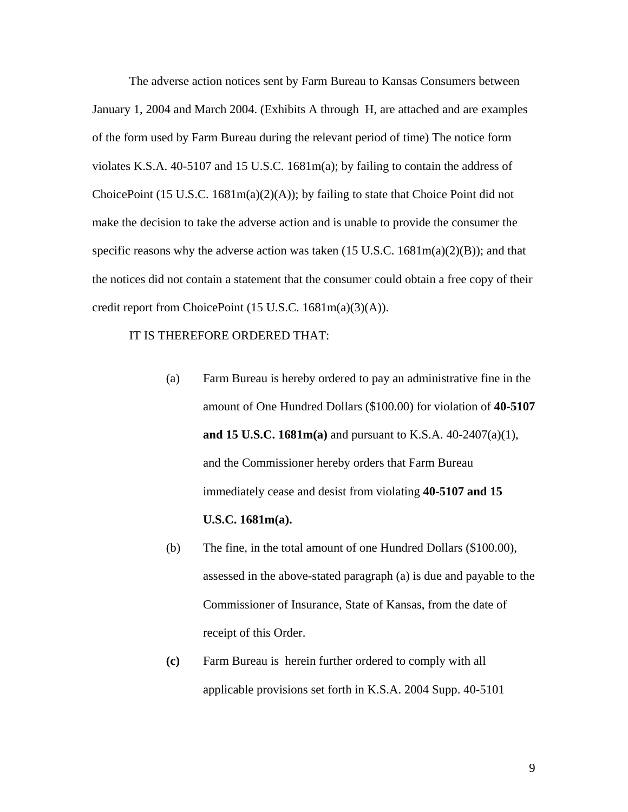The adverse action notices sent by Farm Bureau to Kansas Consumers between January 1, 2004 and March 2004. (Exhibits A through H, are attached and are examples of the form used by Farm Bureau during the relevant period of time) The notice form violates K.S.A. 40-5107 and 15 U.S.C. 1681m(a); by failing to contain the address of ChoicePoint (15 U.S.C. 1681 $m(a)(2)(A)$ ); by failing to state that Choice Point did not make the decision to take the adverse action and is unable to provide the consumer the specific reasons why the adverse action was taken (15 U.S.C.  $1681m(a)(2)(B)$ ); and that the notices did not contain a statement that the consumer could obtain a free copy of their credit report from ChoicePoint (15 U.S.C. 1681m(a)(3)(A)).

#### IT IS THEREFORE ORDERED THAT:

- (a) Farm Bureau is hereby ordered to pay an administrative fine in the amount of One Hundred Dollars (\$100.00) for violation of **40-5107 and 15 U.S.C. 1681m(a)** and pursuant to K.S.A. 40-2407(a)(1), and the Commissioner hereby orders that Farm Bureau immediately cease and desist from violating **40-5107 and 15 U.S.C. 1681m(a).**
- (b) The fine, in the total amount of one Hundred Dollars (\$100.00), assessed in the above-stated paragraph (a) is due and payable to the Commissioner of Insurance, State of Kansas, from the date of receipt of this Order.
- **(c)** Farm Bureau is herein further ordered to comply with all applicable provisions set forth in K.S.A. 2004 Supp. 40-5101
- 9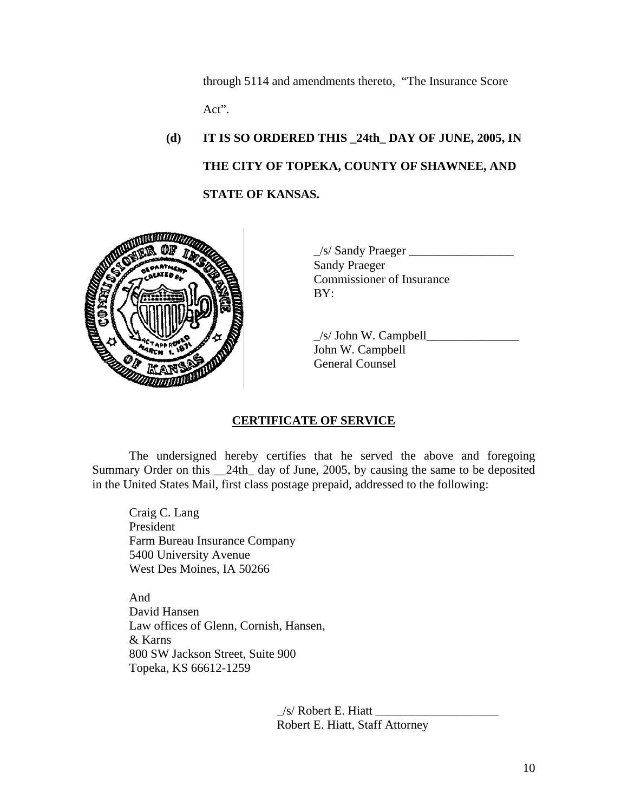through 5114 and amendments thereto, "The Insurance Score Act".

# **(d) IT IS SO ORDERED THIS \_24th\_ DAY OF JUNE, 2005, IN THE CITY OF TOPEKA, COUNTY OF SHAWNEE, AND STATE OF KANSAS.**



 $\angle$ s/ Sandy Praeger  $\angle$ Sandy Praeger Commissioner of Insurance

 $\angle$ s/ John W. Campbell $\angle$ John W. Campbell General Counsel

## **CERTIFICATE OF SERVICE**

 The undersigned hereby certifies that he served the above and foregoing Summary Order on this \_\_24th\_ day of June, 2005, by causing the same to be deposited in the United States Mail, first class postage prepaid, addressed to the following:

 Craig C. Lang President Farm Bureau Insurance Company 5400 University Avenue West Des Moines, IA 50266

And David Hansen Law offices of Glenn, Cornish, Hansen, & Karns 800 SW Jackson Street, Suite 900 Topeka, KS 66612-1259

> $\angle$ s/ Robert E. Hiatt Robert E. Hiatt, Staff Attorney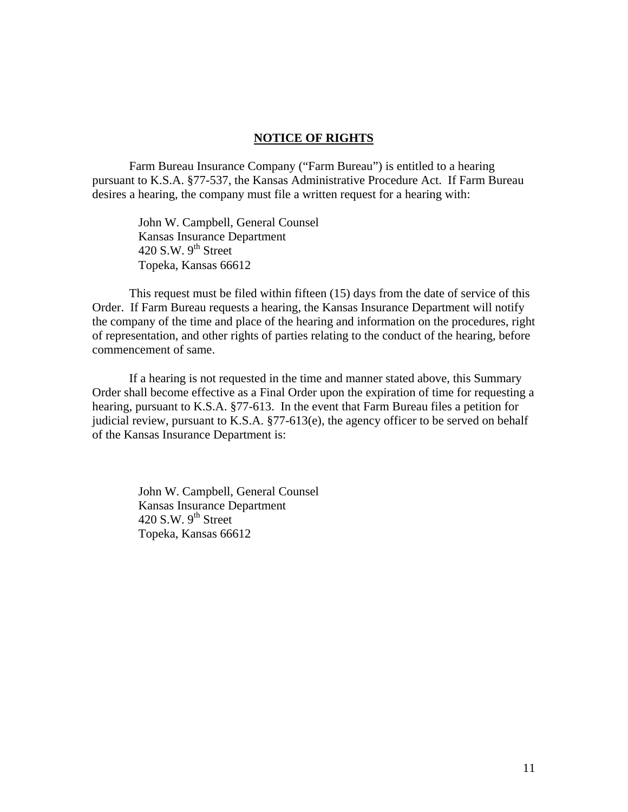#### **NOTICE OF RIGHTS**

 Farm Bureau Insurance Company ("Farm Bureau") is entitled to a hearing pursuant to K.S.A. §77-537, the Kansas Administrative Procedure Act. If Farm Bureau desires a hearing, the company must file a written request for a hearing with:

> John W. Campbell, General Counsel Kansas Insurance Department 420 S.W.  $9<sup>th</sup>$  Street Topeka, Kansas 66612

 This request must be filed within fifteen (15) days from the date of service of this Order. If Farm Bureau requests a hearing, the Kansas Insurance Department will notify the company of the time and place of the hearing and information on the procedures, right of representation, and other rights of parties relating to the conduct of the hearing, before commencement of same.

 If a hearing is not requested in the time and manner stated above, this Summary Order shall become effective as a Final Order upon the expiration of time for requesting a hearing, pursuant to K.S.A. §77-613. In the event that Farm Bureau files a petition for judicial review, pursuant to K.S.A. §77-613(e), the agency officer to be served on behalf of the Kansas Insurance Department is:

> John W. Campbell, General Counsel Kansas Insurance Department 420 S.W.  $9^{th}$  Street Topeka, Kansas 66612